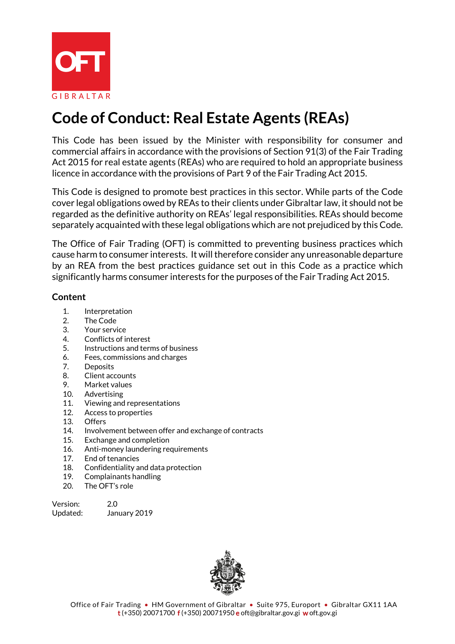

# **Code of Conduct: Real Estate Agents (REAs)**

This Code has been issued by the Minister with responsibility for consumer and commercial affairs in accordance with the provisions of Section 91(3) of the Fair Trading Act 2015 for real estate agents (REAs) who are required to hold an appropriate business licence in accordance with the provisions of Part 9 of the Fair Trading Act 2015.

This Code is designed to promote best practices in this sector. While parts of the Code cover legal obligations owed by REAs to their clients under Gibraltar law, it should not be regarded as the definitive authority on REAs' legal responsibilities. REAs should become separately acquainted with these legal obligations which are not prejudiced by this Code.

The Office of Fair Trading (OFT) is committed to preventing business practices which cause harm to consumer interests. It will therefore consider any unreasonable departure by an REA from the best practices guidance set out in this Code as a practice which significantly harms consumer interests for the purposes of the Fair Trading Act 2015.

#### **Content**

- 1. Interpretation
- 2. The Code
- 3. Your service
- 4. Conflicts of interest
- 5. Instructions and terms of business
- 6. Fees, commissions and charges
- 7. Deposits
- 8. Client accounts
- 9. Market values
- 10. Advertising
- 11. Viewing and representations
- 12. Access to properties
- 13. Offers
- 14. Involvement between offer and exchange of contracts
- 15. Exchange and completion
- 16. Anti-money laundering requirements
- 17. End of tenancies
- 18. Confidentiality and data protection
- 19. Complainants handling
- 20. The OFT's role

| Version: | 2.0          |
|----------|--------------|
| Updated: | January 2019 |

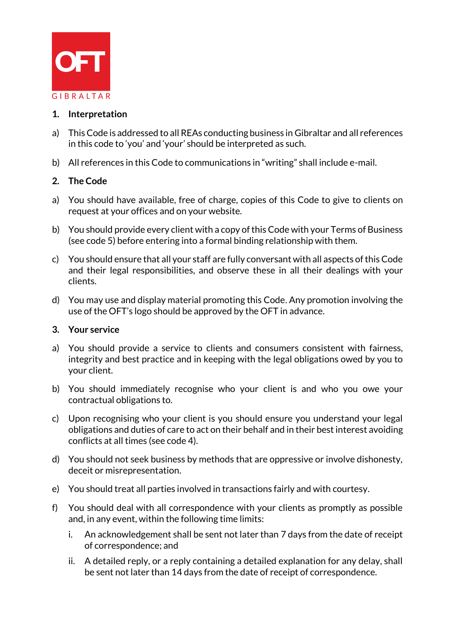

## **1. Interpretation**

- a) This Code is addressed to all REAs conducting business in Gibraltar and all references in this code to 'you' and 'your' should be interpreted as such.
- b) All references in this Code to communications in "writing" shall include e-mail.

## **2. The Code**

- a) You should have available, free of charge, copies of this Code to give to clients on request at your offices and on your website.
- b) You should provide every client with a copy of this Code with your Terms of Business (see code 5) before entering into a formal binding relationship with them.
- c) You should ensure that all your staff are fully conversant with all aspects of this Code and their legal responsibilities, and observe these in all their dealings with your clients.
- d) You may use and display material promoting this Code. Any promotion involving the use of the OFT's logo should be approved by the OFT in advance.

#### **3. Your service**

- a) You should provide a service to clients and consumers consistent with fairness, integrity and best practice and in keeping with the legal obligations owed by you to your client.
- b) You should immediately recognise who your client is and who you owe your contractual obligations to.
- c) Upon recognising who your client is you should ensure you understand your legal obligations and duties of care to act on their behalf and in their best interest avoiding conflicts at all times (see code 4).
- d) You should not seek business by methods that are oppressive or involve dishonesty, deceit or misrepresentation.
- e) You should treat all parties involved in transactions fairly and with courtesy.
- f) You should deal with all correspondence with your clients as promptly as possible and, in any event, within the following time limits:
	- i. An acknowledgement shall be sent not later than 7 days from the date of receipt of correspondence; and
	- ii. A detailed reply, or a reply containing a detailed explanation for any delay, shall be sent not later than 14 days from the date of receipt of correspondence.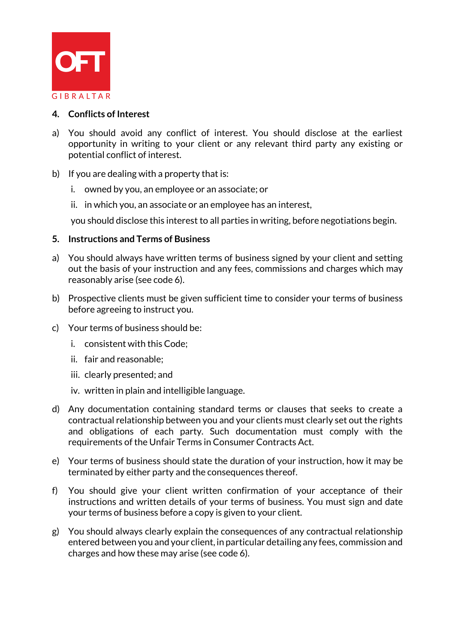

#### **4. Conflicts of Interest**

- a) You should avoid any conflict of interest. You should disclose at the earliest opportunity in writing to your client or any relevant third party any existing or potential conflict of interest.
- b) If you are dealing with a property that is:
	- i. owned by you, an employee or an associate; or
	- ii. in which you, an associate or an employee has an interest,

you should disclose this interest to all parties in writing, before negotiations begin.

#### **5. Instructions and Terms of Business**

- a) You should always have written terms of business signed by your client and setting out the basis of your instruction and any fees, commissions and charges which may reasonably arise (see code 6).
- b) Prospective clients must be given sufficient time to consider your terms of business before agreeing to instruct you.
- c) Your terms of business should be:
	- i. consistent with this Code;
	- ii. fair and reasonable;
	- iii. clearly presented; and
	- iv. written in plain and intelligible language.
- d) Any documentation containing standard terms or clauses that seeks to create a contractual relationship between you and your clients must clearly set out the rights and obligations of each party. Such documentation must comply with the requirements of the Unfair Terms in Consumer Contracts Act.
- e) Your terms of business should state the duration of your instruction, how it may be terminated by either party and the consequences thereof.
- f) You should give your client written confirmation of your acceptance of their instructions and written details of your terms of business. You must sign and date your terms of business before a copy is given to your client.
- g) You should always clearly explain the consequences of any contractual relationship entered between you and your client, in particular detailing any fees, commission and charges and how these may arise (see code 6).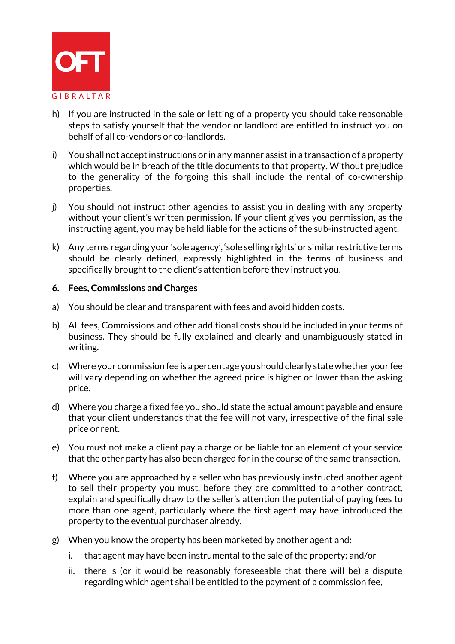

- h) If you are instructed in the sale or letting of a property you should take reasonable steps to satisfy yourself that the vendor or landlord are entitled to instruct you on behalf of all co-vendors or co-landlords.
- i) You shall not accept instructions or in any manner assist in a transaction of a property which would be in breach of the title documents to that property. Without prejudice to the generality of the forgoing this shall include the rental of co-ownership properties.
- j) You should not instruct other agencies to assist you in dealing with any property without your client's written permission. If your client gives you permission, as the instructing agent, you may be held liable for the actions of the sub-instructed agent.
- k) Any terms regarding your 'sole agency', 'sole selling rights' or similar restrictive terms should be clearly defined, expressly highlighted in the terms of business and specifically brought to the client's attention before they instruct you.

#### **6. Fees, Commissions and Charges**

- a) You should be clear and transparent with fees and avoid hidden costs.
- b) All fees, Commissions and other additional costs should be included in your terms of business. They should be fully explained and clearly and unambiguously stated in writing.
- c) Where your commission fee is a percentage you should clearly state whether your fee will vary depending on whether the agreed price is higher or lower than the asking price.
- d) Where you charge a fixed fee you should state the actual amount payable and ensure that your client understands that the fee will not vary, irrespective of the final sale price or rent.
- e) You must not make a client pay a charge or be liable for an element of your service that the other party has also been charged for in the course of the same transaction.
- f) Where you are approached by a seller who has previously instructed another agent to sell their property you must, before they are committed to another contract, explain and specifically draw to the seller's attention the potential of paying fees to more than one agent, particularly where the first agent may have introduced the property to the eventual purchaser already.
- g) When you know the property has been marketed by another agent and:
	- i. that agent may have been instrumental to the sale of the property; and/or
	- ii. there is (or it would be reasonably foreseeable that there will be) a dispute regarding which agent shall be entitled to the payment of a commission fee,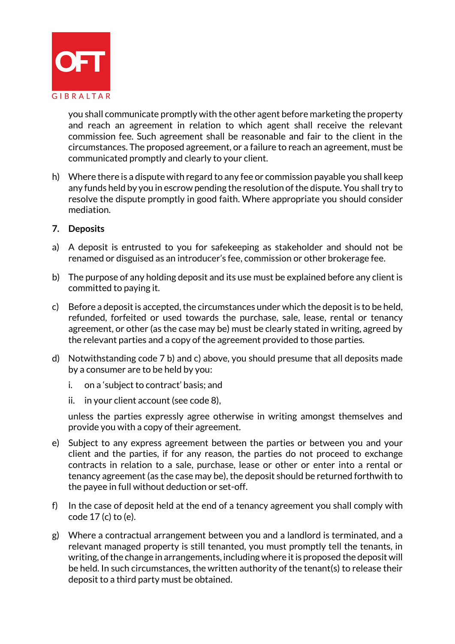

you shall communicate promptly with the other agent before marketing the property and reach an agreement in relation to which agent shall receive the relevant commission fee. Such agreement shall be reasonable and fair to the client in the circumstances. The proposed agreement, or a failure to reach an agreement, must be communicated promptly and clearly to your client.

h) Where there is a dispute with regard to any fee or commission payable you shall keep any funds held by you in escrow pending the resolution of the dispute. You shall try to resolve the dispute promptly in good faith. Where appropriate you should consider mediation.

#### **7. Deposits**

- a) A deposit is entrusted to you for safekeeping as stakeholder and should not be renamed or disguised as an introducer's fee, commission or other brokerage fee.
- b) The purpose of any holding deposit and its use must be explained before any client is committed to paying it.
- c) Before a deposit is accepted, the circumstances under which the deposit is to be held, refunded, forfeited or used towards the purchase, sale, lease, rental or tenancy agreement, or other (as the case may be) must be clearly stated in writing, agreed by the relevant parties and a copy of the agreement provided to those parties.
- d) Notwithstanding code 7 b) and c) above, you should presume that all deposits made by a consumer are to be held by you:
	- i. on a 'subject to contract' basis; and
	- ii. in your client account (see code 8),

unless the parties expressly agree otherwise in writing amongst themselves and provide you with a copy of their agreement.

- e) Subject to any express agreement between the parties or between you and your client and the parties, if for any reason, the parties do not proceed to exchange contracts in relation to a sale, purchase, lease or other or enter into a rental or tenancy agreement (as the case may be), the deposit should be returned forthwith to the payee in full without deduction or set-off.
- f) In the case of deposit held at the end of a tenancy agreement you shall comply with code 17 (c) to (e).
- g) Where a contractual arrangement between you and a landlord is terminated, and a relevant managed property is still tenanted, you must promptly tell the tenants, in writing, of the change in arrangements, including where it is proposed the deposit will be held. In such circumstances, the written authority of the tenant(s) to release their deposit to a third party must be obtained.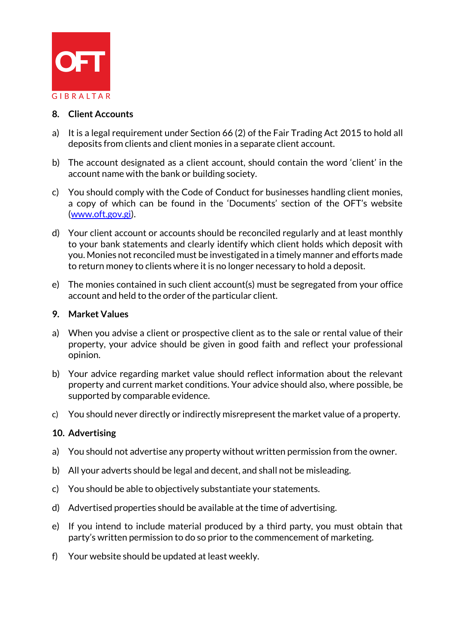

#### **8. Client Accounts**

- a) It is a legal requirement under Section 66 (2) of the Fair Trading Act 2015 to hold all deposits from clients and client monies in a separate client account.
- b) The account designated as a client account, should contain the word 'client' in the account name with the bank or building society.
- c) You should comply with the Code of Conduct for businesses handling client monies, a copy of which can be found in the 'Documents' section of the OFT's website [\(www.oft.gov.gi\)](http://www.oft.gov.gi/).
- d) Your client account or accounts should be reconciled regularly and at least monthly to your bank statements and clearly identify which client holds which deposit with you. Monies not reconciled must be investigated in a timely manner and efforts made to return money to clients where it is no longer necessary to hold a deposit.
- e) The monies contained in such client account(s) must be segregated from your office account and held to the order of the particular client.

#### **9. Market Values**

- a) When you advise a client or prospective client as to the sale or rental value of their property, your advice should be given in good faith and reflect your professional opinion.
- b) Your advice regarding market value should reflect information about the relevant property and current market conditions. Your advice should also, where possible, be supported by comparable evidence.
- c) You should never directly or indirectly misrepresent the market value of a property.

## **10. Advertising**

- a) You should not advertise any property without written permission from the owner.
- b) All your adverts should be legal and decent, and shall not be misleading.
- c) You should be able to objectively substantiate your statements.
- d) Advertised properties should be available at the time of advertising.
- e) If you intend to include material produced by a third party, you must obtain that party's written permission to do so prior to the commencement of marketing.
- f) Your website should be updated at least weekly.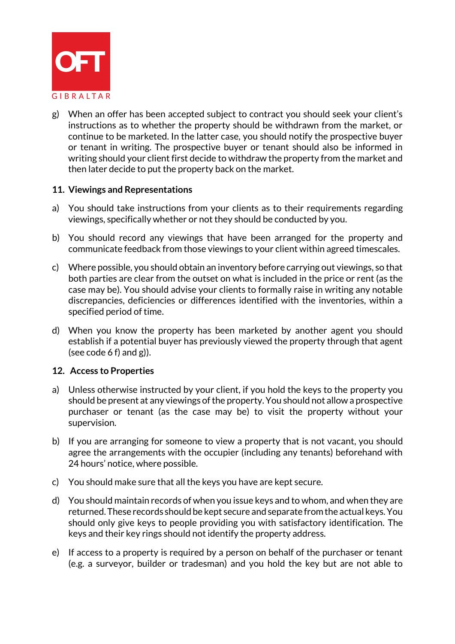

g) When an offer has been accepted subject to contract you should seek your client's instructions as to whether the property should be withdrawn from the market, or continue to be marketed. In the latter case, you should notify the prospective buyer or tenant in writing. The prospective buyer or tenant should also be informed in writing should your client first decide to withdraw the property from the market and then later decide to put the property back on the market.

#### **11. Viewings and Representations**

- a) You should take instructions from your clients as to their requirements regarding viewings, specifically whether or not they should be conducted by you.
- b) You should record any viewings that have been arranged for the property and communicate feedback from those viewings to your client within agreed timescales.
- c) Where possible, you should obtain an inventory before carrying out viewings, so that both parties are clear from the outset on what is included in the price or rent (as the case may be). You should advise your clients to formally raise in writing any notable discrepancies, deficiencies or differences identified with the inventories, within a specified period of time.
- d) When you know the property has been marketed by another agent you should establish if a potential buyer has previously viewed the property through that agent (see code  $6 f$ ) and  $g$ )).

#### **12. Access to Properties**

- a) Unless otherwise instructed by your client, if you hold the keys to the property you should be present at any viewings of the property. You should not allow a prospective purchaser or tenant (as the case may be) to visit the property without your supervision.
- b) If you are arranging for someone to view a property that is not vacant, you should agree the arrangements with the occupier (including any tenants) beforehand with 24 hours' notice, where possible.
- c) You should make sure that all the keys you have are kept secure.
- d) You should maintain records of when you issue keys and to whom, and when they are returned. These records should be kept secure and separate from the actual keys. You should only give keys to people providing you with satisfactory identification. The keys and their key rings should not identify the property address.
- e) If access to a property is required by a person on behalf of the purchaser or tenant (e.g. a surveyor, builder or tradesman) and you hold the key but are not able to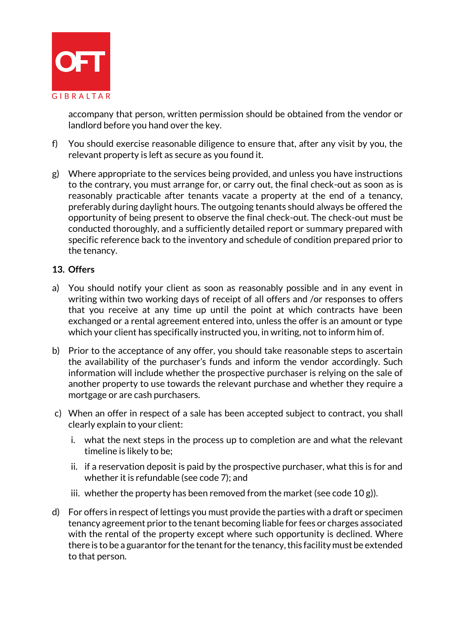

accompany that person, written permission should be obtained from the vendor or landlord before you hand over the key.

- f) You should exercise reasonable diligence to ensure that, after any visit by you, the relevant property is left as secure as you found it.
- g) Where appropriate to the services being provided, and unless you have instructions to the contrary, you must arrange for, or carry out, the final check-out as soon as is reasonably practicable after tenants vacate a property at the end of a tenancy, preferably during daylight hours. The outgoing tenants should always be offered the opportunity of being present to observe the final check-out. The check-out must be conducted thoroughly, and a sufficiently detailed report or summary prepared with specific reference back to the inventory and schedule of condition prepared prior to the tenancy.

## **13. Offers**

- a) You should notify your client as soon as reasonably possible and in any event in writing within two working days of receipt of all offers and /or responses to offers that you receive at any time up until the point at which contracts have been exchanged or a rental agreement entered into, unless the offer is an amount or type which your client has specifically instructed you, in writing, not to inform him of.
- b) Prior to the acceptance of any offer, you should take reasonable steps to ascertain the availability of the purchaser's funds and inform the vendor accordingly. Such information will include whether the prospective purchaser is relying on the sale of another property to use towards the relevant purchase and whether they require a mortgage or are cash purchasers.
- c) When an offer in respect of a sale has been accepted subject to contract, you shall clearly explain to your client:
	- i. what the next steps in the process up to completion are and what the relevant timeline is likely to be;
	- ii. if a reservation deposit is paid by the prospective purchaser, what this is for and whether it is refundable (see code 7); and
	- iii. whether the property has been removed from the market (see code 10 g)).
- d) For offers in respect of lettings you must provide the parties with a draft or specimen tenancy agreement prior to the tenant becoming liable for fees or charges associated with the rental of the property except where such opportunity is declined. Where there is to be a guarantor for the tenant for the tenancy, this facility must be extended to that person.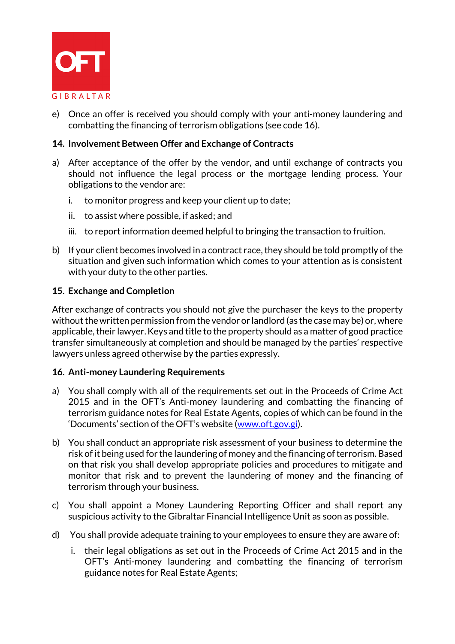

e) Once an offer is received you should comply with your anti-money laundering and combatting the financing of terrorism obligations (see code 16).

## **14. Involvement Between Offer and Exchange of Contracts**

- a) After acceptance of the offer by the vendor, and until exchange of contracts you should not influence the legal process or the mortgage lending process. Your obligations to the vendor are:
	- i. to monitor progress and keep your client up to date;
	- ii. to assist where possible, if asked; and
	- iii. to report information deemed helpful to bringing the transaction to fruition.
- b) If your client becomes involved in a contract race, they should be told promptly of the situation and given such information which comes to your attention as is consistent with your duty to the other parties.

#### **15. Exchange and Completion**

After exchange of contracts you should not give the purchaser the keys to the property without the written permission from the vendor or landlord (as the case may be) or, where applicable, their lawyer. Keys and title to the property should as a matter of good practice transfer simultaneously at completion and should be managed by the parties' respective lawyers unless agreed otherwise by the parties expressly.

#### **16. Anti-money Laundering Requirements**

- a) You shall comply with all of the requirements set out in the Proceeds of Crime Act 2015 and in the OFT's Anti-money laundering and combatting the financing of terrorism guidance notes for Real Estate Agents, copies of which can be found in the 'Documents' section of the OFT's website ([www.oft.gov.gi\)](http://www.oft.gov.gi/).
- b) You shall conduct an appropriate risk assessment of your business to determine the risk of it being used for the laundering of money and the financing of terrorism. Based on that risk you shall develop appropriate policies and procedures to mitigate and monitor that risk and to prevent the laundering of money and the financing of terrorism through your business.
- c) You shall appoint a Money Laundering Reporting Officer and shall report any suspicious activity to the Gibraltar Financial Intelligence Unit as soon as possible.
- d) You shall provide adequate training to your employees to ensure they are aware of:
	- i. their legal obligations as set out in the Proceeds of Crime Act 2015 and in the OFT's Anti-money laundering and combatting the financing of terrorism guidance notes for Real Estate Agents;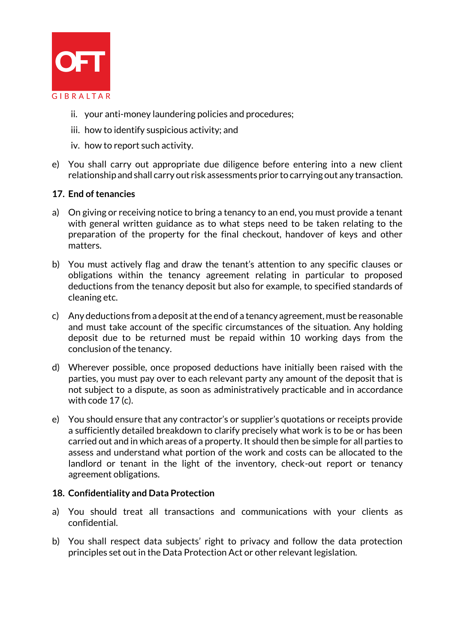

- ii. your anti-money laundering policies and procedures;
- iii. how to identify suspicious activity; and
- iv. how to report such activity.
- e) You shall carry out appropriate due diligence before entering into a new client relationship and shall carry out risk assessments prior to carrying out any transaction.

#### **17. End of tenancies**

- a) On giving or receiving notice to bring a tenancy to an end, you must provide a tenant with general written guidance as to what steps need to be taken relating to the preparation of the property for the final checkout, handover of keys and other matters.
- b) You must actively flag and draw the tenant's attention to any specific clauses or obligations within the tenancy agreement relating in particular to proposed deductions from the tenancy deposit but also for example, to specified standards of cleaning etc.
- c) Any deductions from a deposit at the end of a tenancy agreement, must be reasonable and must take account of the specific circumstances of the situation. Any holding deposit due to be returned must be repaid within 10 working days from the conclusion of the tenancy.
- d) Wherever possible, once proposed deductions have initially been raised with the parties, you must pay over to each relevant party any amount of the deposit that is not subject to a dispute, as soon as administratively practicable and in accordance with code 17 (c).
- e) You should ensure that any contractor's or supplier's quotations or receipts provide a sufficiently detailed breakdown to clarify precisely what work is to be or has been carried out and in which areas of a property. It should then be simple for all parties to assess and understand what portion of the work and costs can be allocated to the landlord or tenant in the light of the inventory, check-out report or tenancy agreement obligations.

#### **18. Confidentiality and Data Protection**

- a) You should treat all transactions and communications with your clients as confidential.
- b) You shall respect data subjects' right to privacy and follow the data protection principles set out in the Data Protection Act or other relevant legislation.